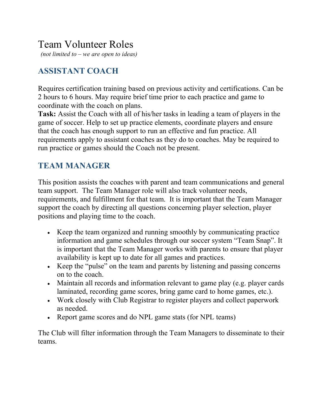## Team Volunteer Roles

*(not limited to – we are open to ideas)*

## **ASSISTANT COACH**

Requires certification training based on previous activity and certifications. Can be 2 hours to 6 hours. May require brief time prior to each practice and game to coordinate with the coach on plans.

**Task:** Assist the Coach with all of his/her tasks in leading a team of players in the game of soccer. Help to set up practice elements, coordinate players and ensure that the coach has enough support to run an effective and fun practice. All requirements apply to assistant coaches as they do to coaches. May be required to run practice or games should the Coach not be present.

#### **TEAM MANAGER**

This position assists the coaches with parent and team communications and general team support. The Team Manager role will also track volunteer needs, requirements, and fulfillment for that team. It is important that the Team Manager support the coach by directing all questions concerning player selection, player positions and playing time to the coach.

- Keep the team organized and running smoothly by communicating practice information and game schedules through our soccer system "Team Snap". It is important that the Team Manager works with parents to ensure that player availability is kept up to date for all games and practices.
- Keep the "pulse" on the team and parents by listening and passing concerns on to the coach.
- Maintain all records and information relevant to game play (e.g. player cards laminated, recording game scores, bring game card to home games, etc.).
- Work closely with Club Registrar to register players and collect paperwork as needed.
- Report game scores and do NPL game stats (for NPL teams)

The Club will filter information through the Team Managers to disseminate to their teams.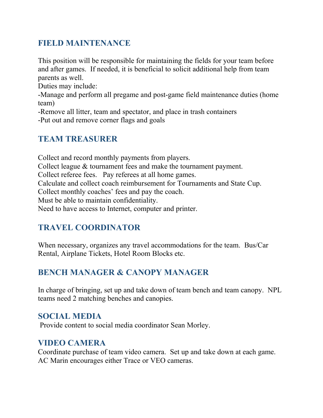## **FIELD MAINTENANCE**

This position will be responsible for maintaining the fields for your team before and after games. If needed, it is beneficial to solicit additional help from team parents as well.

Duties may include:

-Manage and perform all pregame and post-game field maintenance duties (home team)

-Remove all litter, team and spectator, and place in trash containers

-Put out and remove corner flags and goals

#### **TEAM TREASURER**

Collect and record monthly payments from players. Collect league & tournament fees and make the tournament payment. Collect referee fees. Pay referees at all home games. Calculate and collect coach reimbursement for Tournaments and State Cup. Collect monthly coaches' fees and pay the coach. Must be able to maintain confidentiality. Need to have access to Internet, computer and printer.

## **TRAVEL COORDINATOR**

When necessary, organizes any travel accommodations for the team. Bus/Car Rental, Airplane Tickets, Hotel Room Blocks etc.

## **BENCH MANAGER & CANOPY MANAGER**

In charge of bringing, set up and take down of team bench and team canopy. NPL teams need 2 matching benches and canopies.

#### **SOCIAL MEDIA**

Provide content to social media coordinator Sean Morley.

#### **VIDEO CAMERA**

Coordinate purchase of team video camera. Set up and take down at each game. AC Marin encourages either Trace or VEO cameras.